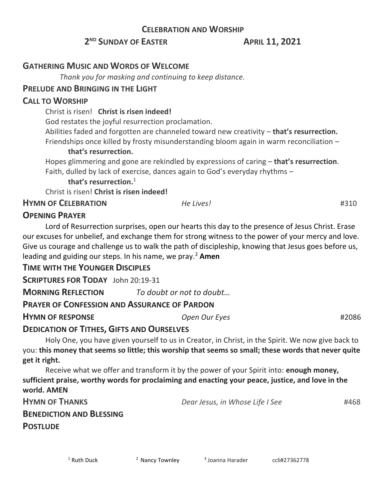## **CELEBRATION AND WORSHIP**

# **2 ND SUNDAY OF EASTER APRIL 11, 2021**

## **GATHERING MUSIC AND WORDS OF WELCOME**

 *Thank you for masking and continuing to keep distance.*

## **PRELUDE AND BRINGING IN THE LIGHT**

## **CALL TO WORSHIP**

Christ is risen! **Christ is risen indeed!**

God restates the joyful resurrection proclamation.

Abilities faded and forgotten are channeled toward new creativity – **that's resurrection.** Friendships once killed by frosty misunderstanding bloom again in warm reconciliation –

### **that's resurrection.**

Hopes glimmering and gone are rekindled by expressions of caring – **that's resurrection**. Faith, dulled by lack of exercise, dances again to God's everyday rhythms –

### **that's resurrection.**<sup>1</sup>

Christ is risen! **Christ is risen indeed!**

**HYMN OF CELEBRATION** *He Lives!* #310

# **OPENING PRAYER**

Lord of Resurrection surprises, open our hearts this day to the presence of Jesus Christ. Erase our excuses for unbelief, and exchange them for strong witness to the power of your mercy and love. Give us courage and challenge us to walk the path of discipleship, knowing that Jesus goes before us, leading and guiding our steps. In his name, we pray.<sup>2</sup> **Amen**

## **TIME WITH THE YOUNGER DISCIPLES**

**SCRIPTURES FOR TODAY** John 20:19-31

**MORNING REFLECTION** *To doubt or not to doubt…*

## **PRAYER OF CONFESSION AND ASSURANCE OF PARDON**

**HYMN OF RESPONSE** *Open Our Eyes* #2086

**POSTLUDE**

# **DEDICATION OF TITHES, GIFTS AND OURSELVES**

Holy One, you have given yourself to us in Creator, in Christ, in the Spirit. We now give back to you: **this money that seems so little; this worship that seems so small; these words that never quite get it right.**

Receive what we offer and transform it by the power of your Spirit into: **enough money, sufficient praise, worthy words for proclaiming and enacting your peace, justice, and love in the world. AMEN**

| <b>HYMN OF THANKS</b>           | Dear Jesus, in Whose Life I See | #468 |
|---------------------------------|---------------------------------|------|
| <b>BENEDICTION AND BLESSING</b> |                                 |      |